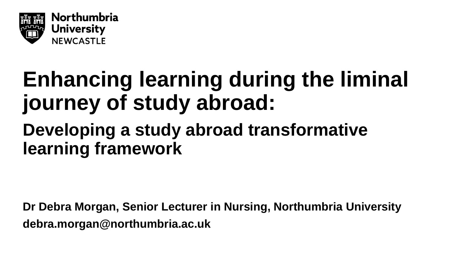

## **Enhancing learning during the liminal journey of study abroad:**

#### **Developing a study abroad transformative learning framework**

**Dr Debra Morgan, Senior Lecturer in Nursing, Northumbria University debra.morgan@northumbria.ac.uk**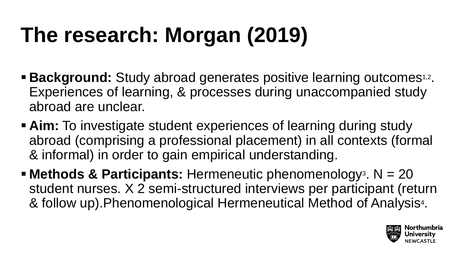## **The research: Morgan (2019)**

- **Background:** Study abroad generates positive learning outcomes<sup>1,2</sup>. Experiences of learning, & processes during unaccompanied study abroad are unclear.
- **Aim:** To investigate student experiences of learning during study abroad (comprising a professional placement) in all contexts (formal & informal) in order to gain empirical understanding.
- **Methods & Participants:** Hermeneutic phenomenology3. N = 20 student nurses. X 2 semi-structured interviews per participant (return & follow up).Phenomenological Hermeneutical Method of Analysis4.

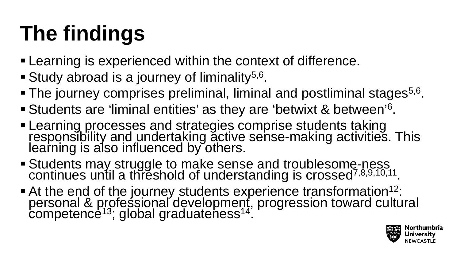# **The findings**

- **Examing is experienced within the context of difference.**
- Study abroad is a journey of liminality<sup>5,6</sup>.
- $\blacksquare$  The journey comprises preliminal, liminal and postliminal stages<sup>5,6</sup>.
- Students are 'liminal entities' as they are 'betwixt & between'6.
- Learning processes and strategies comprise students taking<br>responsibility and undertaking active sense-making activities. This learning is also influenced by others.
- **Students may struggle to make sense and troublesome-ness** continues until a threshold of understanding is crossed<sup>7,8,9,10,11</sup>.
- At the end of the journey students experience transformation<sup>12</sup>: personal & professional development, progression toward cultural competence<sup>13</sup>; global graduateness<sup>14</sup>.

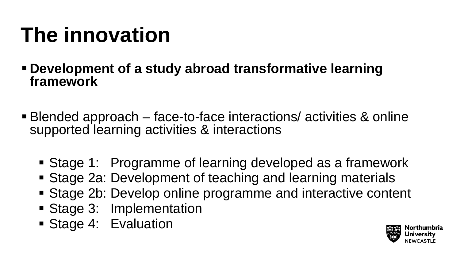## **The innovation**

 **Development of a study abroad transformative learning framework**

- Blended approach face-to-face interactions/ activities & online supported learning activities & interactions
	- Stage 1: Programme of learning developed as a framework
	- Stage 2a: Development of teaching and learning materials
	- Stage 2b: Develop online programme and interactive content
	- Stage 3: Implementation
	- **Stage 4: Evaluation**

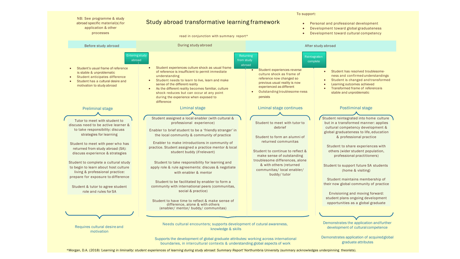|                                                                                                                                                                                                                                                                                                                                                                                                                                                                                                                                                                                                                                                                                                            | To support:                                                                                                                                                                                                                                                                                                                                                                                                                                                                                                                                                                                                                                                                                                                                                                                                                                                                                                                                                                                                                                                                                                                                |                                                                                                                                                                                                                                                                                                                                                                                                                                                                                                                                                                           |                                                                                                                                                                                                                                                                                                                                                                                                                                                                                                                                                                                                                                                                                                                                                                                                                         |
|------------------------------------------------------------------------------------------------------------------------------------------------------------------------------------------------------------------------------------------------------------------------------------------------------------------------------------------------------------------------------------------------------------------------------------------------------------------------------------------------------------------------------------------------------------------------------------------------------------------------------------------------------------------------------------------------------------|--------------------------------------------------------------------------------------------------------------------------------------------------------------------------------------------------------------------------------------------------------------------------------------------------------------------------------------------------------------------------------------------------------------------------------------------------------------------------------------------------------------------------------------------------------------------------------------------------------------------------------------------------------------------------------------------------------------------------------------------------------------------------------------------------------------------------------------------------------------------------------------------------------------------------------------------------------------------------------------------------------------------------------------------------------------------------------------------------------------------------------------------|---------------------------------------------------------------------------------------------------------------------------------------------------------------------------------------------------------------------------------------------------------------------------------------------------------------------------------------------------------------------------------------------------------------------------------------------------------------------------------------------------------------------------------------------------------------------------|-------------------------------------------------------------------------------------------------------------------------------------------------------------------------------------------------------------------------------------------------------------------------------------------------------------------------------------------------------------------------------------------------------------------------------------------------------------------------------------------------------------------------------------------------------------------------------------------------------------------------------------------------------------------------------------------------------------------------------------------------------------------------------------------------------------------------|
| NB: See programme & study<br>abroad specific material(s) for<br>application & other<br>processes                                                                                                                                                                                                                                                                                                                                                                                                                                                                                                                                                                                                           | Study abroad transformative learning framework<br>read in conjunction with summary report*                                                                                                                                                                                                                                                                                                                                                                                                                                                                                                                                                                                                                                                                                                                                                                                                                                                                                                                                                                                                                                                 |                                                                                                                                                                                                                                                                                                                                                                                                                                                                                                                                                                           | Personal and professional development<br>Development toward global graduateness<br>Development toward cultural competency                                                                                                                                                                                                                                                                                                                                                                                                                                                                                                                                                                                                                                                                                               |
| Before study abroad                                                                                                                                                                                                                                                                                                                                                                                                                                                                                                                                                                                                                                                                                        | During study abroad                                                                                                                                                                                                                                                                                                                                                                                                                                                                                                                                                                                                                                                                                                                                                                                                                                                                                                                                                                                                                                                                                                                        |                                                                                                                                                                                                                                                                                                                                                                                                                                                                                                                                                                           | After study abroad                                                                                                                                                                                                                                                                                                                                                                                                                                                                                                                                                                                                                                                                                                                                                                                                      |
| <b>Entering study</b><br>abroad<br>Student's usual frame of reference<br>is stable & unproblematic<br>Student anticipates difference<br>Student has a cultural desire and<br>motivation to study abroad<br><b>Preliminal stage</b><br>Tutor to meet with student to<br>discuss need to be active learner &<br>to take responsibility: discuss<br>strategies for learning<br>Student to meet with peer who has<br>returned from study abroad (SA):<br>discuss experience & strategies<br>Student to complete a cultural study<br>to begin to learn about host culture<br>living & professional practice:<br>prepare for exposure to difference<br>Student & tutor to agree student<br>role and rules for SA | Student experiences culture shock as usual frame<br>$\bullet$<br>of reference is insufficient to permit immediate<br>understanding<br>Student needs to learn to live, learn and make<br>$\bullet$<br>sense of the different reality<br>As the different reality becomes familiar, culture<br>shock reduces but can occur at any point<br>during the experience when exposed to<br>difference<br>Liminal stage<br>Student assigned a local enabler (with cultural &<br>professional experience)<br>Enabler to brief student to be a 'friendly stranger' in<br>the local community & community of practice<br>Enabler to make introductions in community of<br>practice. Student assigned a practice mentor & local<br>student buddy (if relevant)<br>Student to take responsibility for learning and<br>apply role & rule agreements: discuss & negotiate<br>with enabler & mentor<br>Student to be facilitated by enabler to form a<br>community with international peers (communitas,<br>social & practice)<br>Student to have time to reflect & make sense of<br>difference, alone & with others<br>(enabler/ mentor/ buddy/ communitas) | Returning<br>Reintegration<br>from study<br>abroad<br>Student experiences reverse<br>$\bullet$<br>culture shock as frame of<br>reference now changed so<br>previous usual reality is now<br>experienced as different<br>Outstanding troublesome-ness<br>persists<br>Liminal stage continues<br>Student to meet with tutor to<br>debrief<br>Student to form an alumni of<br>returned communitas<br>Student to continue to reflect &<br>make sense of outstanding<br>troublesome differences, alone<br>& with others (returned<br>communitas/ local enabler/<br>buddy/tutor | complete<br>Student has resolved troublesome-<br>$\bullet$<br>ness and confirmed understandings<br>Student is changed and transformed<br>Learning outcomes achieved<br>Transformed frame of reference is<br>stable and unproblematic<br>Postliminal stage<br>Student reintegrated into home culture<br>but in a transformed manner: applies<br>cultural competency development &<br>global graduateness to life, education<br>& professional practice<br>Student to share experiences with<br>others (wider student population,<br>professional practitioners)<br>Student to support future SA students<br>(home & visiting)<br>Student maintains membership of<br>their now global community of practice<br>Envisioning and moving forward:<br>student plans ongoing development<br>opportunities as a global graduate |
| Requires cultural desire and<br>motivation                                                                                                                                                                                                                                                                                                                                                                                                                                                                                                                                                                                                                                                                 | Needs cultural encounters; supports development of cutural awareness,<br>knowledge & skills                                                                                                                                                                                                                                                                                                                                                                                                                                                                                                                                                                                                                                                                                                                                                                                                                                                                                                                                                                                                                                                |                                                                                                                                                                                                                                                                                                                                                                                                                                                                                                                                                                           | Demonstrates the application and further<br>development of cultural competence                                                                                                                                                                                                                                                                                                                                                                                                                                                                                                                                                                                                                                                                                                                                          |
|                                                                                                                                                                                                                                                                                                                                                                                                                                                                                                                                                                                                                                                                                                            | Supports the development of global graduate attributes: working across international<br>boundaries, in intercultural contexts & understanding global aspects of work                                                                                                                                                                                                                                                                                                                                                                                                                                                                                                                                                                                                                                                                                                                                                                                                                                                                                                                                                                       |                                                                                                                                                                                                                                                                                                                                                                                                                                                                                                                                                                           | Demonstrates application of acquired global<br>graduate attributes                                                                                                                                                                                                                                                                                                                                                                                                                                                                                                                                                                                                                                                                                                                                                      |

\*Morgan, D.A. (2018) *'Learning in liminality: student experiences of learning during study abroad: Summary Report'* Northumbria University (summary acknowledges underpinning theorists).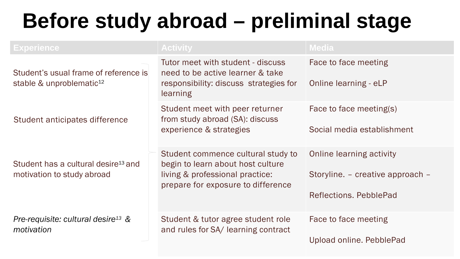## **Before study abroad – preliminal stage**

| <b>Experience</b>                                                             | <b>Activity</b>                                                                                                                                  | <b>Media</b>                                                                                  |
|-------------------------------------------------------------------------------|--------------------------------------------------------------------------------------------------------------------------------------------------|-----------------------------------------------------------------------------------------------|
| Student's usual frame of reference is<br>stable & unproblematic <sup>12</sup> | Tutor meet with student - discuss<br>need to be active learner & take<br>responsibility: discuss strategies for<br>learning                      | Face to face meeting<br>Online learning - eLP                                                 |
| Student anticipates difference                                                | Student meet with peer returner<br>from study abroad (SA): discuss<br>experience & strategies                                                    | Face to face meeting(s)<br>Social media establishment                                         |
| Student has a cultural desire <sup>13</sup> and<br>motivation to study abroad | Student commence cultural study to<br>begin to learn about host culture<br>living & professional practice:<br>prepare for exposure to difference | <b>Online learning activity</b><br>Storyline. – creative approach –<br>Reflections, PebblePad |
| Pre-requisite: cultural desire <sup>13</sup> $\&$<br>motivation               | Student & tutor agree student role<br>and rules for SA/ learning contract                                                                        | Face to face meeting<br>Upload online. PebblePad                                              |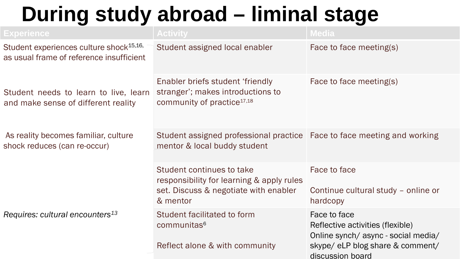## **During study abroad – liminal stage**

| <b>Experience</b>                                                                               | <b>Activity</b>                                                                                                             | <b>Media</b>                                                                                                                                   |
|-------------------------------------------------------------------------------------------------|-----------------------------------------------------------------------------------------------------------------------------|------------------------------------------------------------------------------------------------------------------------------------------------|
| Student experiences culture shock <sup>15,16,</sup><br>as usual frame of reference insufficient | Student assigned local enabler                                                                                              | Face to face meeting(s)                                                                                                                        |
| Student needs to learn to live, learn<br>and make sense of different reality                    | Enabler briefs student 'friendly<br>stranger'; makes introductions to<br>community of practice <sup>17,18</sup>             | Face to face meeting(s)                                                                                                                        |
| As reality becomes familiar, culture<br>shock reduces (can re-occur)                            | Student assigned professional practice   Face to face meeting and working<br>mentor & local buddy student                   |                                                                                                                                                |
|                                                                                                 | Student continues to take<br>responsibility for learning & apply rules<br>set. Discuss & negotiate with enabler<br>& mentor | Face to face<br>Continue cultural study - online or<br>hardcopy                                                                                |
| Requires: cultural encounters <sup>13</sup>                                                     | Student facilitated to form<br>communitas <sup>6</sup><br>Reflect alone & with community                                    | Face to face<br>Reflective activities (flexible)<br>Online synch/async - social media/<br>skype/ eLP blog share & comment/<br>discussion board |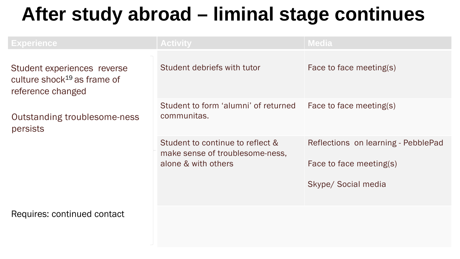#### **After study abroad – liminal stage continues**

| <b>Experience</b>                                                                           | <b>Activity</b>                                                                            | <b>Media</b>                                                                          |
|---------------------------------------------------------------------------------------------|--------------------------------------------------------------------------------------------|---------------------------------------------------------------------------------------|
| Student experiences reverse<br>culture shock <sup>19</sup> as frame of<br>reference changed | Student debriefs with tutor                                                                | Face to face meeting(s)                                                               |
| Outstanding troublesome-ness<br>persists                                                    | Student to form 'alumni' of returned<br>communitas.                                        | Face to face meeting(s)                                                               |
|                                                                                             | Student to continue to reflect &<br>make sense of troublesome-ness,<br>alone & with others | Reflections on learning - PebblePad<br>Face to face meeting(s)<br>Skype/ Social media |
| Requires: continued contact                                                                 |                                                                                            |                                                                                       |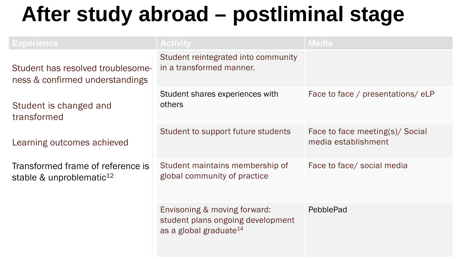### **After study abroad – postliminal stage**

| <b>Experience</b>                                                         | <b>Activity</b>                                                                                         | <b>Media</b>                                           |
|---------------------------------------------------------------------------|---------------------------------------------------------------------------------------------------------|--------------------------------------------------------|
| Student has resolved troublesome-<br>ness & confirmed understandings      | Student reintegrated into community<br>in a transformed manner.                                         |                                                        |
| Student is changed and<br>transformed                                     | Student shares experiences with<br>others                                                               | Face to face / presentations/eLP                       |
| Learning outcomes achieved                                                | Student to support future students                                                                      | Face to face meeting(s)/ Social<br>media establishment |
| Transformed frame of reference is<br>stable & unproblematic <sup>12</sup> | Student maintains membership of<br>global community of practice                                         | Face to face/ social media                             |
|                                                                           | Envisoning & moving forward:<br>student plans ongoing development<br>as a global graduate <sup>14</sup> | PebblePad                                              |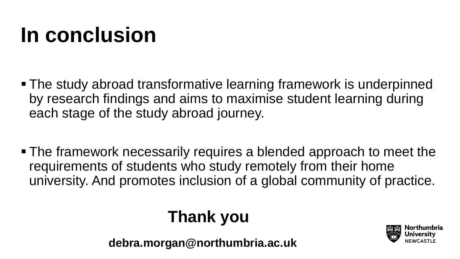## **In conclusion**

- The study abroad transformative learning framework is underpinned by research findings and aims to maximise student learning during each stage of the study abroad journey.
- The framework necessarily requires a blended approach to meet the requirements of students who study remotely from their home university. And promotes inclusion of a global community of practice.

#### **Thank you**

**debra.morgan@northumbria.ac.uk**

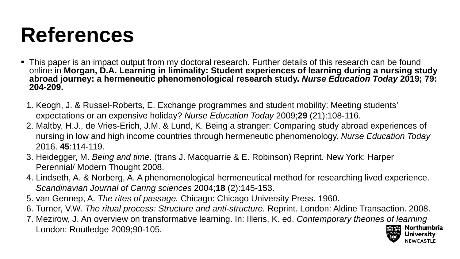## **References**

- This paper is an impact output from my doctoral research. Further details of this research can be found online in **Morgan, D.A. Learning in liminality: Student experiences of learning during a nursing study abroad journey: a hermeneutic phenomenological research study.** *Nurse Education Today* **2019; 79: 204-209.**
	- 1. Keogh, J. & Russel-Roberts, E. Exchange programmes and student mobility: Meeting students' expectations or an expensive holiday? *Nurse Education Today* 2009;**29** (21):108-116.
	- 2. Maltby, H.J., de Vries-Erich, J.M. & Lund, K. Being a stranger: Comparing study abroad experiences of nursing in low and high income countries through hermeneutic phenomenology. *Nurse Education Today*  2016. **45**:114-119.
	- 3. Heidegger, M. *Being and time*. (trans J. Macquarrie & E. Robinson) Reprint. New York: Harper Perennial/ Modern Thought 2008.
	- 4. Lindseth, A. & Norberg, A. A phenomenological hermeneutical method for researching lived experience. *Scandinavian Journal of Caring sciences* 2004;**18** (2):145-153.
	- 5. van Gennep, A. *The rites of passage.* Chicago: Chicago University Press. 1960.
	- 6. Turner, V.W. *The ritual process: Structure and anti-structure.* Reprint. London: Aldine Transaction. 2008.
	- 7. Mezirow, J. An overview on transformative learning. In: Illeris, K. ed. *Contemporary theories of learning* London: Routledge 2009;90-105.

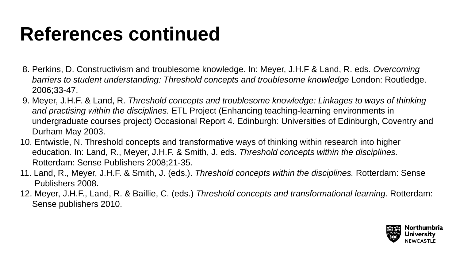### **References continued**

- 8. Perkins, D. Constructivism and troublesome knowledge. In: Meyer, J.H.F & Land, R. eds. *Overcoming barriers to student understanding: Threshold concepts and troublesome knowledge* London: Routledge. 2006;33-47.
- 9. Meyer, J.H.F. & Land, R. *Threshold concepts and troublesome knowledge: Linkages to ways of thinking and practising within the disciplines.* ETL Project (Enhancing teaching-learning environments in undergraduate courses project) Occasional Report 4. Edinburgh: Universities of Edinburgh, Coventry and Durham May 2003.
- 10. Entwistle, N. Threshold concepts and transformative ways of thinking within research into higher education. In: Land, R., Meyer, J.H.F. & Smith, J. eds. *Threshold concepts within the disciplines.* Rotterdam: Sense Publishers 2008;21-35.
- 11. Land, R., Meyer, J.H.F. & Smith, J. (eds.). *Threshold concepts within the disciplines.* Rotterdam: Sense Publishers 2008.
- 12. Meyer, J.H.F., Land, R. & Baillie, C. (eds.) *Threshold concepts and transformational learning.* Rotterdam: Sense publishers 2010.